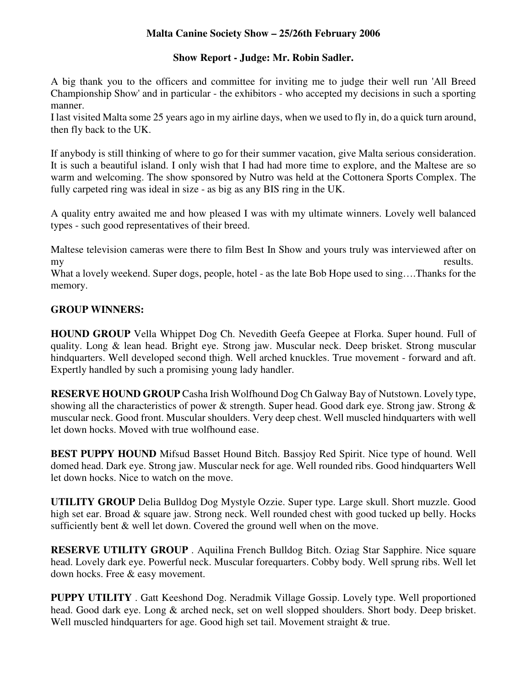## **Malta Canine Society Show – 25/26th February 2006**

## **Show Report - Judge: Mr. Robin Sadler.**

A big thank you to the officers and committee for inviting me to judge their well run 'All Breed Championship Show' and in particular - the exhibitors - who accepted my decisions in such a sporting manner.

I last visited Malta some 25 years ago in my airline days, when we used to fly in, do a quick turn around, then fly back to the UK.

If anybody is still thinking of where to go for their summer vacation, give Malta serious consideration. It is such a beautiful island. I only wish that I had had more time to explore, and the Maltese are so warm and welcoming. The show sponsored by Nutro was held at the Cottonera Sports Complex. The fully carpeted ring was ideal in size - as big as any BIS ring in the UK.

A quality entry awaited me and how pleased I was with my ultimate winners. Lovely well balanced types - such good representatives of their breed.

Maltese television cameras were there to film Best In Show and yours truly was interviewed after on my results.

What a lovely weekend. Super dogs, people, hotel - as the late Bob Hope used to sing….Thanks for the memory.

## **GROUP WINNERS:**

**HOUND GROUP** Vella Whippet Dog Ch. Nevedith Geefa Geepee at Florka. Super hound. Full of quality. Long & lean head. Bright eye. Strong jaw. Muscular neck. Deep brisket. Strong muscular hindquarters. Well developed second thigh. Well arched knuckles. True movement - forward and aft. Expertly handled by such a promising young lady handler.

**RESERVE HOUND GROUP** Casha Irish Wolfhound Dog Ch Galway Bay of Nutstown. Lovely type, showing all the characteristics of power & strength. Super head. Good dark eye. Strong jaw. Strong & muscular neck. Good front. Muscular shoulders. Very deep chest. Well muscled hindquarters with well let down hocks. Moved with true wolfhound ease.

**BEST PUPPY HOUND** Mifsud Basset Hound Bitch. Bassjoy Red Spirit. Nice type of hound. Well domed head. Dark eye. Strong jaw. Muscular neck for age. Well rounded ribs. Good hindquarters Well let down hocks. Nice to watch on the move.

**UTILITY GROUP** Delia Bulldog Dog Mystyle Ozzie. Super type. Large skull. Short muzzle. Good high set ear. Broad & square jaw. Strong neck. Well rounded chest with good tucked up belly. Hocks sufficiently bent & well let down. Covered the ground well when on the move.

**RESERVE UTILITY GROUP** . Aquilina French Bulldog Bitch. Oziag Star Sapphire. Nice square head. Lovely dark eye. Powerful neck. Muscular forequarters. Cobby body. Well sprung ribs. Well let down hocks. Free & easy movement.

**PUPPY UTILITY** . Gatt Keeshond Dog. Neradmik Village Gossip. Lovely type. Well proportioned head. Good dark eye. Long & arched neck, set on well slopped shoulders. Short body. Deep brisket. Well muscled hindquarters for age. Good high set tail. Movement straight & true.